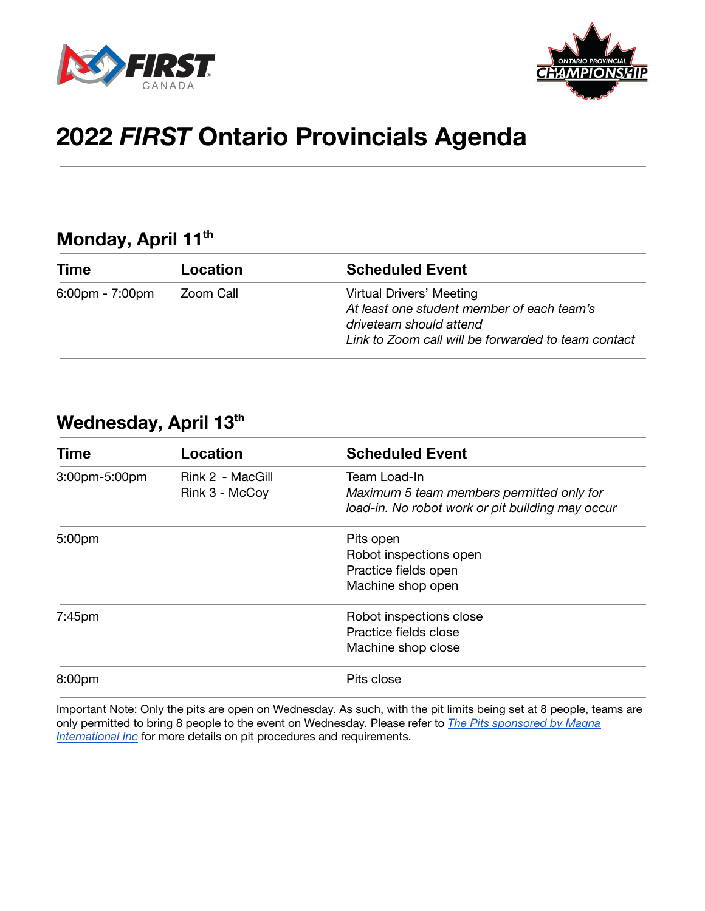



# **2022** *FIRST* **Ontario Provincials Agenda**

# **Monday, April 11 th**

| <b>Time</b>                       | Location  | <b>Scheduled Event</b>                                                                                                                                   |
|-----------------------------------|-----------|----------------------------------------------------------------------------------------------------------------------------------------------------------|
| $6:00 \text{pm} - 7:00 \text{pm}$ | Zoom Call | Virtual Drivers' Meeting<br>At least one student member of each team's<br>driveteam should attend<br>Link to Zoom call will be forwarded to team contact |

## **Wednesday, April 13 th**

| <b>Time</b>        | Location                           | <b>Scheduled Event</b>                                                                                        |
|--------------------|------------------------------------|---------------------------------------------------------------------------------------------------------------|
| 3:00pm-5:00pm      | Rink 2 - MacGill<br>Rink 3 - McCoy | Team Load-In<br>Maximum 5 team members permitted only for<br>load-in. No robot work or pit building may occur |
| 5:00 <sub>pm</sub> |                                    | Pits open<br>Robot inspections open<br>Practice fields open<br>Machine shop open                              |
| $7:45$ pm          |                                    | Robot inspections close<br>Practice fields close<br>Machine shop close                                        |
| 8:00 <sub>pm</sub> |                                    | Pits close                                                                                                    |

Important Note: Only the pits are open on Wednesday. As such, with the pit limits being set at 8 people, teams are only permitted to bring 8 people to the event on Wednesday. Please refer to *The Pits sponsored by Magna International Inc* for more details on pit procedures and requirements.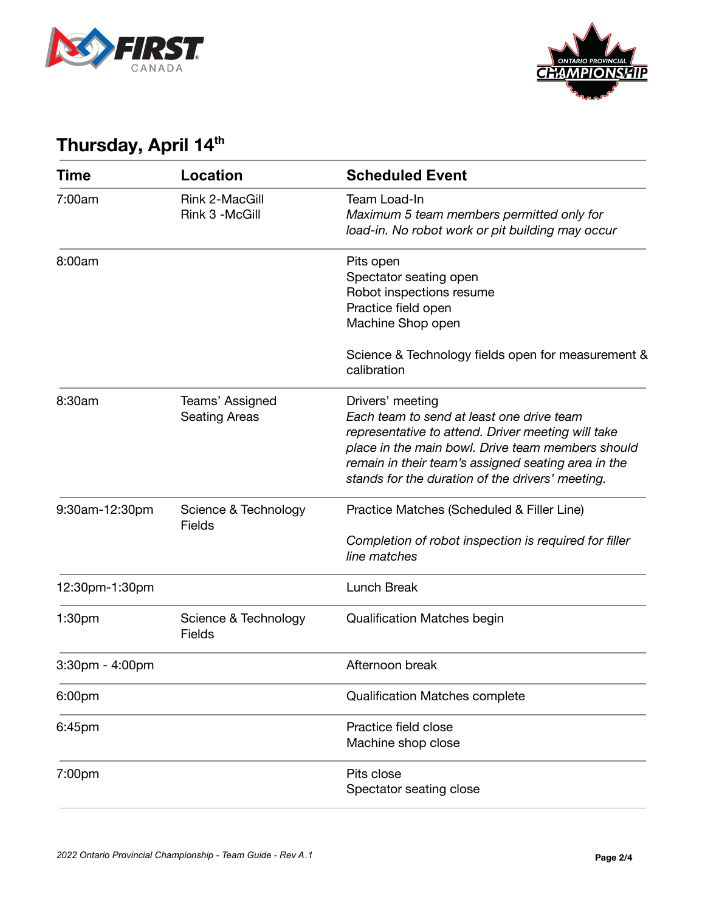



# **Thursday, April 14 th**

| Time                  | <b>Location</b>                         | <b>Scheduled Event</b>                                                                                                                                                                                                                                                              |
|-----------------------|-----------------------------------------|-------------------------------------------------------------------------------------------------------------------------------------------------------------------------------------------------------------------------------------------------------------------------------------|
| 7:00am                | Rink 2-MacGill<br>Rink 3 -McGill        | Team Load-In<br>Maximum 5 team members permitted only for<br>load-in. No robot work or pit building may occur                                                                                                                                                                       |
| 8:00am                |                                         | Pits open<br>Spectator seating open<br>Robot inspections resume<br>Practice field open<br>Machine Shop open                                                                                                                                                                         |
|                       |                                         | Science & Technology fields open for measurement &<br>calibration                                                                                                                                                                                                                   |
| 8:30am                | Teams' Assigned<br><b>Seating Areas</b> | Drivers' meeting<br>Each team to send at least one drive team<br>representative to attend. Driver meeting will take<br>place in the main bowl. Drive team members should<br>remain in their team's assigned seating area in the<br>stands for the duration of the drivers' meeting. |
| 9:30am-12:30pm        | Science & Technology<br><b>Fields</b>   | Practice Matches (Scheduled & Filler Line)<br>Completion of robot inspection is required for filler<br>line matches                                                                                                                                                                 |
| 12:30pm-1:30pm        |                                         | Lunch Break                                                                                                                                                                                                                                                                         |
| 1:30 <sub>pm</sub>    | Science & Technology<br><b>Fields</b>   | <b>Qualification Matches begin</b>                                                                                                                                                                                                                                                  |
| $3:30$ pm - $4:00$ pm |                                         | Afternoon break                                                                                                                                                                                                                                                                     |
| 6:00pm                |                                         | <b>Qualification Matches complete</b>                                                                                                                                                                                                                                               |
| 6:45pm                |                                         | Practice field close<br>Machine shop close                                                                                                                                                                                                                                          |
| 7:00pm                |                                         | Pits close<br>Spectator seating close                                                                                                                                                                                                                                               |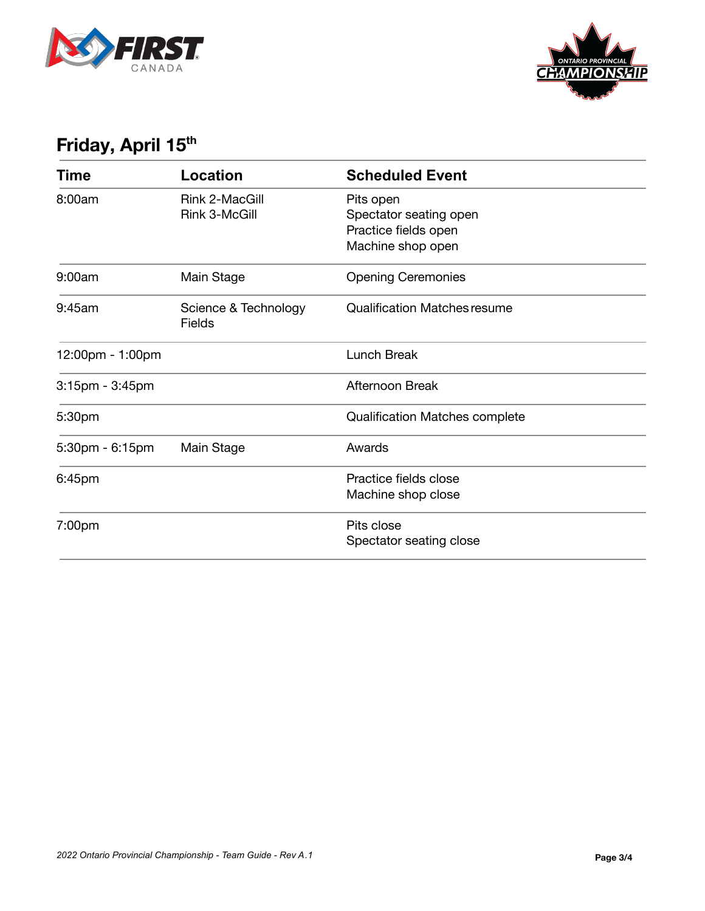



## **Friday, April 15 th**

| Time                  | <b>Location</b>                 | <b>Scheduled Event</b>                                                           |
|-----------------------|---------------------------------|----------------------------------------------------------------------------------|
| 8:00am                | Rink 2-MacGill<br>Rink 3-McGill | Pits open<br>Spectator seating open<br>Practice fields open<br>Machine shop open |
| 9:00am                | Main Stage                      | <b>Opening Ceremonies</b>                                                        |
| 9:45am                | Science & Technology<br>Fields  | <b>Qualification Matches resume</b>                                              |
| 12:00pm - 1:00pm      |                                 | Lunch Break                                                                      |
| $3:15$ pm - $3:45$ pm |                                 | Afternoon Break                                                                  |
| 5:30pm                |                                 | <b>Qualification Matches complete</b>                                            |
| $5:30$ pm - $6:15$ pm | Main Stage                      | Awards                                                                           |
| 6:45pm                |                                 | Practice fields close<br>Machine shop close                                      |
| 7:00pm                |                                 | Pits close<br>Spectator seating close                                            |